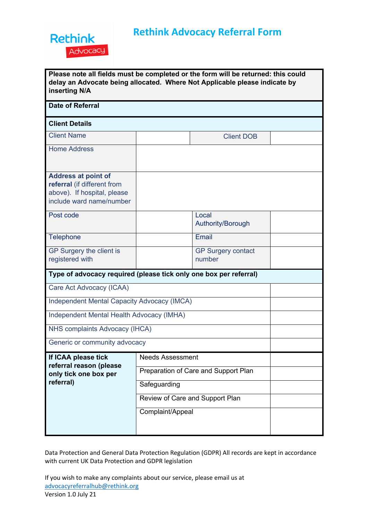

| Please note all fields must be completed or the form will be returned: this could |
|-----------------------------------------------------------------------------------|
| delay an Advocate being allocated. Where Not Applicable please indicate by        |
| inserting N/A                                                                     |

| <b>Date of Referral</b>                                                                                              |                                      |                            |  |  |  |  |
|----------------------------------------------------------------------------------------------------------------------|--------------------------------------|----------------------------|--|--|--|--|
| <b>Client Details</b>                                                                                                |                                      |                            |  |  |  |  |
| <b>Client Name</b>                                                                                                   |                                      | <b>Client DOB</b>          |  |  |  |  |
| <b>Home Address</b>                                                                                                  |                                      |                            |  |  |  |  |
|                                                                                                                      |                                      |                            |  |  |  |  |
| <b>Address at point of</b><br>referral (if different from<br>above). If hospital, please<br>include ward name/number |                                      |                            |  |  |  |  |
| Post code                                                                                                            |                                      | Local<br>Authority/Borough |  |  |  |  |
| Telephone                                                                                                            |                                      | Email                      |  |  |  |  |
| GP Surgery the client is                                                                                             |                                      | <b>GP Surgery contact</b>  |  |  |  |  |
| registered with                                                                                                      |                                      | number                     |  |  |  |  |
| Type of advocacy required (please tick only one box per referral)                                                    |                                      |                            |  |  |  |  |
| Care Act Advocacy (ICAA)                                                                                             |                                      |                            |  |  |  |  |
| <b>Independent Mental Capacity Advocacy (IMCA)</b>                                                                   |                                      |                            |  |  |  |  |
| Independent Mental Health Advocacy (IMHA)                                                                            |                                      |                            |  |  |  |  |
| NHS complaints Advocacy (IHCA)                                                                                       |                                      |                            |  |  |  |  |
| Generic or community advocacy                                                                                        |                                      |                            |  |  |  |  |
| If ICAA please tick<br>referral reason (please<br>only tick one box per                                              | <b>Needs Assessment</b>              |                            |  |  |  |  |
|                                                                                                                      | Preparation of Care and Support Plan |                            |  |  |  |  |
| referral)                                                                                                            | Safeguarding                         |                            |  |  |  |  |
|                                                                                                                      | Review of Care and Support Plan      |                            |  |  |  |  |
|                                                                                                                      | Complaint/Appeal                     |                            |  |  |  |  |
|                                                                                                                      |                                      |                            |  |  |  |  |

Data Protection and General Data Protection Regulation (GDPR) All records are kept in accordance with current UK Data Protection and GDPR legislation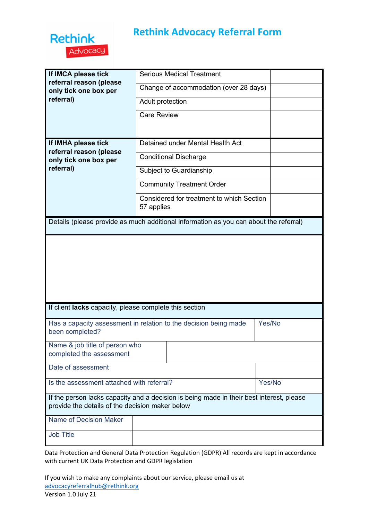

## **Rethink Advocacy Referral Form**

| If IMCA please tick                                                                                                                         | <b>Serious Medical Treatment</b>                                                      |        |  |  |  |
|---------------------------------------------------------------------------------------------------------------------------------------------|---------------------------------------------------------------------------------------|--------|--|--|--|
| referral reason (please<br>only tick one box per                                                                                            | Change of accommodation (over 28 days)                                                |        |  |  |  |
| referral)                                                                                                                                   | Adult protection                                                                      |        |  |  |  |
|                                                                                                                                             | <b>Care Review</b>                                                                    |        |  |  |  |
|                                                                                                                                             |                                                                                       |        |  |  |  |
| If IMHA please tick<br>referral reason (please                                                                                              | Detained under Mental Health Act                                                      |        |  |  |  |
| only tick one box per                                                                                                                       | <b>Conditional Discharge</b>                                                          |        |  |  |  |
| referral)                                                                                                                                   | Subject to Guardianship                                                               |        |  |  |  |
|                                                                                                                                             | <b>Community Treatment Order</b>                                                      |        |  |  |  |
|                                                                                                                                             | Considered for treatment to which Section<br>57 applies                               |        |  |  |  |
|                                                                                                                                             | Details (please provide as much additional information as you can about the referral) |        |  |  |  |
|                                                                                                                                             |                                                                                       |        |  |  |  |
| If client lacks capacity, please complete this section                                                                                      |                                                                                       |        |  |  |  |
| Has a capacity assessment in relation to the decision being made<br>been completed?                                                         | Yes/No                                                                                |        |  |  |  |
| Name & job title of person who<br>completed the assessment                                                                                  |                                                                                       |        |  |  |  |
| Date of assessment                                                                                                                          |                                                                                       |        |  |  |  |
| Is the assessment attached with referral?                                                                                                   |                                                                                       | Yes/No |  |  |  |
| If the person lacks capacity and a decision is being made in their best interest, please<br>provide the details of the decision maker below |                                                                                       |        |  |  |  |
| Name of Decision Maker                                                                                                                      |                                                                                       |        |  |  |  |
| <b>Job Title</b>                                                                                                                            |                                                                                       |        |  |  |  |

Data Protection and General Data Protection Regulation (GDPR) All records are kept in accordance with current UK Data Protection and GDPR legislation

If you wish to make any complaints about our service, please email us at advocacyreferralhub@rethink.org Version 1.0 July 21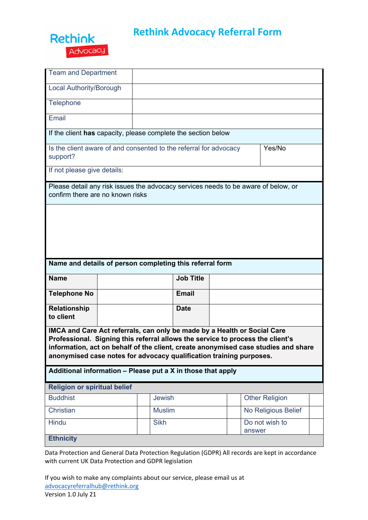

## **Rethink Advocacy Referral Form**

| <b>Team and Department</b>                                                                                                                                                                                                        |               |                  |  |                                                                                    |  |
|-----------------------------------------------------------------------------------------------------------------------------------------------------------------------------------------------------------------------------------|---------------|------------------|--|------------------------------------------------------------------------------------|--|
| <b>Local Authority/Borough</b>                                                                                                                                                                                                    |               |                  |  |                                                                                    |  |
| Telephone                                                                                                                                                                                                                         |               |                  |  |                                                                                    |  |
| Email                                                                                                                                                                                                                             |               |                  |  |                                                                                    |  |
| If the client has capacity, please complete the section below                                                                                                                                                                     |               |                  |  |                                                                                    |  |
| Is the client aware of and consented to the referral for advocacy<br>support?                                                                                                                                                     |               |                  |  | Yes/No                                                                             |  |
| If not please give details:                                                                                                                                                                                                       |               |                  |  |                                                                                    |  |
| Please detail any risk issues the advocacy services needs to be aware of below, or<br>confirm there are no known risks                                                                                                            |               |                  |  |                                                                                    |  |
|                                                                                                                                                                                                                                   |               |                  |  |                                                                                    |  |
|                                                                                                                                                                                                                                   |               |                  |  |                                                                                    |  |
|                                                                                                                                                                                                                                   |               |                  |  |                                                                                    |  |
|                                                                                                                                                                                                                                   |               |                  |  |                                                                                    |  |
| Name and details of person completing this referral form                                                                                                                                                                          |               |                  |  |                                                                                    |  |
| <b>Name</b>                                                                                                                                                                                                                       |               | <b>Job Title</b> |  |                                                                                    |  |
| <b>Telephone No</b>                                                                                                                                                                                                               |               | <b>Email</b>     |  |                                                                                    |  |
| <b>Relationship</b><br>to client                                                                                                                                                                                                  |               | <b>Date</b>      |  |                                                                                    |  |
| IMCA and Care Act referrals, can only be made by a Health or Social Care<br>Professional. Signing this referral allows the service to process the client's<br>anonymised case notes for advocacy qualification training purposes. |               |                  |  | information, act on behalf of the client, create anonymised case studies and share |  |
| Additional information - Please put a X in those that apply                                                                                                                                                                       |               |                  |  |                                                                                    |  |
| <b>Religion or spiritual belief</b>                                                                                                                                                                                               |               |                  |  |                                                                                    |  |
| <b>Buddhist</b>                                                                                                                                                                                                                   | <b>Jewish</b> |                  |  | <b>Other Religion</b>                                                              |  |
| Christian                                                                                                                                                                                                                         | <b>Muslim</b> |                  |  | No Religious Belief                                                                |  |
| Hindu                                                                                                                                                                                                                             | <b>Sikh</b>   |                  |  | Do not wish to<br>answer                                                           |  |

Data Protection and General Data Protection Regulation (GDPR) All records are kept in accordance with current UK Data Protection and GDPR legislation

If you wish to make any complaints about our service, please email us at advocacyreferralhub@rethink.org Version 1.0 July 21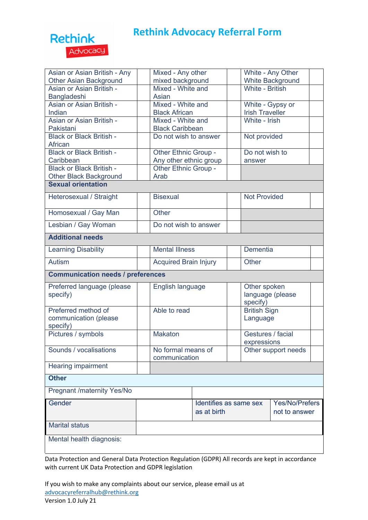## **Rethink** Advocacy

| Asian or Asian British - Any             | Mixed - Any other            |                  | White - Any Other       |                                          |  |
|------------------------------------------|------------------------------|------------------|-------------------------|------------------------------------------|--|
| <b>Other Asian Background</b>            | mixed background             |                  | <b>White Background</b> |                                          |  |
| Asian or Asian British -                 | Mixed - White and            |                  | <b>White - British</b>  |                                          |  |
| Bangladeshi                              | Asian                        |                  |                         |                                          |  |
| Asian or Asian British -                 | Mixed - White and            |                  | White - Gypsy or        |                                          |  |
| Indian                                   | <b>Black African</b>         |                  | <b>Irish Traveller</b>  |                                          |  |
| Asian or Asian British -                 | Mixed - White and            |                  | White - Irish           |                                          |  |
| Pakistani                                | <b>Black Caribbean</b>       |                  |                         |                                          |  |
| <b>Black or Black British -</b>          | Do not wish to answer        |                  | Not provided            |                                          |  |
| African                                  |                              |                  |                         |                                          |  |
| <b>Black or Black British -</b>          | Other Ethnic Group -         |                  | Do not wish to          |                                          |  |
| Caribbean                                | Any other ethnic group       |                  | answer                  |                                          |  |
| <b>Black or Black British -</b>          | Other Ethnic Group -         |                  |                         |                                          |  |
| <b>Other Black Background</b>            | Arab                         |                  |                         |                                          |  |
| <b>Sexual orientation</b>                |                              |                  |                         |                                          |  |
| Heterosexual / Straight                  | <b>Bisexual</b>              |                  | <b>Not Provided</b>     |                                          |  |
|                                          |                              |                  |                         |                                          |  |
| Homosexual / Gay Man                     | Other                        |                  |                         |                                          |  |
| Lesbian / Gay Woman                      | Do not wish to answer        |                  |                         |                                          |  |
| <b>Additional needs</b>                  |                              |                  |                         |                                          |  |
|                                          |                              |                  |                         |                                          |  |
| <b>Learning Disability</b>               | <b>Mental Illness</b>        |                  | Dementia                |                                          |  |
| <b>Autism</b>                            | <b>Acquired Brain Injury</b> |                  | Other                   |                                          |  |
| <b>Communication needs / preferences</b> |                              |                  |                         |                                          |  |
| Preferred language (please               | English language             |                  | Other spoken            |                                          |  |
| specify)                                 |                              | language (please |                         |                                          |  |
|                                          |                              |                  | specify)                |                                          |  |
| Preferred method of                      | Able to read                 |                  | <b>British Sign</b>     |                                          |  |
| communication (please                    |                              |                  | Language                |                                          |  |
| specify)                                 |                              |                  |                         |                                          |  |
| Pictures / symbols                       | <b>Makaton</b>               |                  | Gestures / facial       |                                          |  |
|                                          |                              |                  | expressions             |                                          |  |
| Sounds / vocalisations                   | No formal means of           |                  | Other support needs     |                                          |  |
|                                          |                              | communication    |                         |                                          |  |
| <b>Hearing impairment</b>                |                              |                  |                         |                                          |  |
| <b>Other</b>                             |                              |                  |                         |                                          |  |
| <b>Pregnant /maternity Yes/No</b>        |                              |                  |                         |                                          |  |
| Gender                                   |                              |                  |                         | Yes/No/Prefers<br>Identifies as same sex |  |
|                                          |                              | as at birth      | not to answer           |                                          |  |
|                                          |                              |                  |                         |                                          |  |
| <b>Marital status</b>                    |                              |                  |                         |                                          |  |
|                                          |                              |                  |                         |                                          |  |
| Mental health diagnosis:                 |                              |                  |                         |                                          |  |
|                                          |                              |                  |                         |                                          |  |

Data Protection and General Data Protection Regulation (GDPR) All records are kept in accordance with current UK Data Protection and GDPR legislation